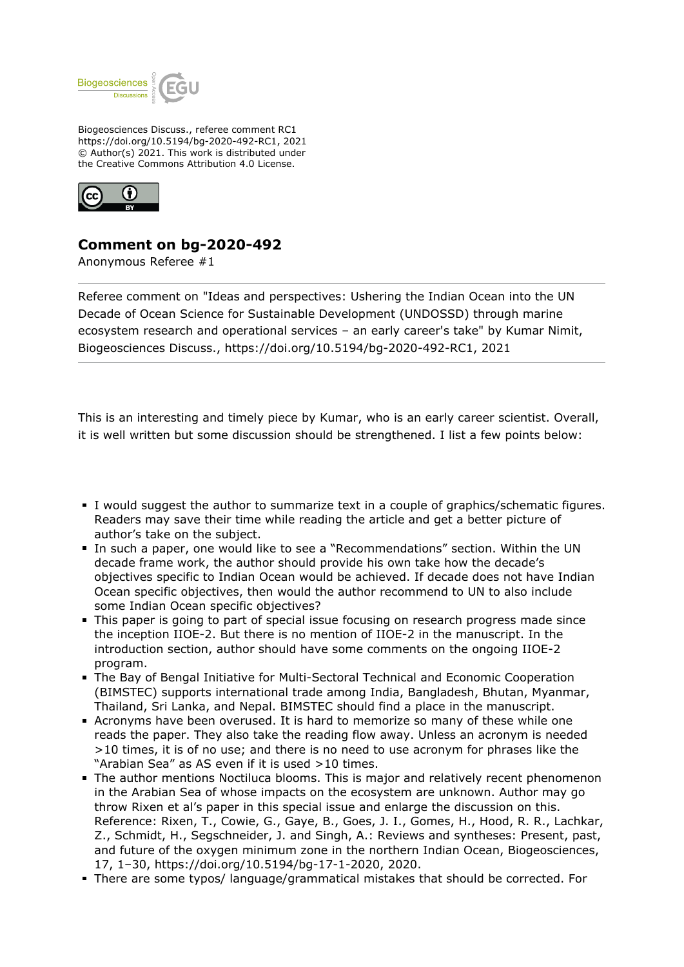

Biogeosciences Discuss., referee comment RC1 https://doi.org/10.5194/bg-2020-492-RC1, 2021 © Author(s) 2021. This work is distributed under the Creative Commons Attribution 4.0 License.



## **Comment on bg-2020-492**

Anonymous Referee #1

Referee comment on "Ideas and perspectives: Ushering the Indian Ocean into the UN Decade of Ocean Science for Sustainable Development (UNDOSSD) through marine ecosystem research and operational services – an early career's take" by Kumar Nimit, Biogeosciences Discuss., https://doi.org/10.5194/bg-2020-492-RC1, 2021

This is an interesting and timely piece by Kumar, who is an early career scientist. Overall, it is well written but some discussion should be strengthened. I list a few points below:

- I would suggest the author to summarize text in a couple of graphics/schematic figures. Readers may save their time while reading the article and get a better picture of author's take on the subject.
- In such a paper, one would like to see a "Recommendations" section. Within the UN decade frame work, the author should provide his own take how the decade's objectives specific to Indian Ocean would be achieved. If decade does not have Indian Ocean specific objectives, then would the author recommend to UN to also include some Indian Ocean specific objectives?
- This paper is going to part of special issue focusing on research progress made since the inception IIOE-2. But there is no mention of IIOE-2 in the manuscript. In the introduction section, author should have some comments on the ongoing IIOE-2 program.
- The Bay of Bengal Initiative for Multi-Sectoral Technical and Economic Cooperation (BIMSTEC) supports international trade among India, Bangladesh, Bhutan, Myanmar, Thailand, Sri Lanka, and Nepal. BIMSTEC should find a place in the manuscript.
- Acronyms have been overused. It is hard to memorize so many of these while one reads the paper. They also take the reading flow away. Unless an acronym is needed >10 times, it is of no use; and there is no need to use acronym for phrases like the "Arabian Sea" as AS even if it is used >10 times.
- The author mentions Noctiluca blooms. This is major and relatively recent phenomenon in the Arabian Sea of whose impacts on the ecosystem are unknown. Author may go throw Rixen et al's paper in this special issue and enlarge the discussion on this. Reference: Rixen, T., Cowie, G., Gaye, B., Goes, J. I., Gomes, H., Hood, R. R., Lachkar, Z., Schmidt, H., Segschneider, J. and Singh, A.: Reviews and syntheses: Present, past, and future of the oxygen minimum zone in the northern Indian Ocean, Biogeosciences, 17, 1–30, https://doi.org/10.5194/bg-17-1-2020, 2020.
- There are some typos/ language/grammatical mistakes that should be corrected. For